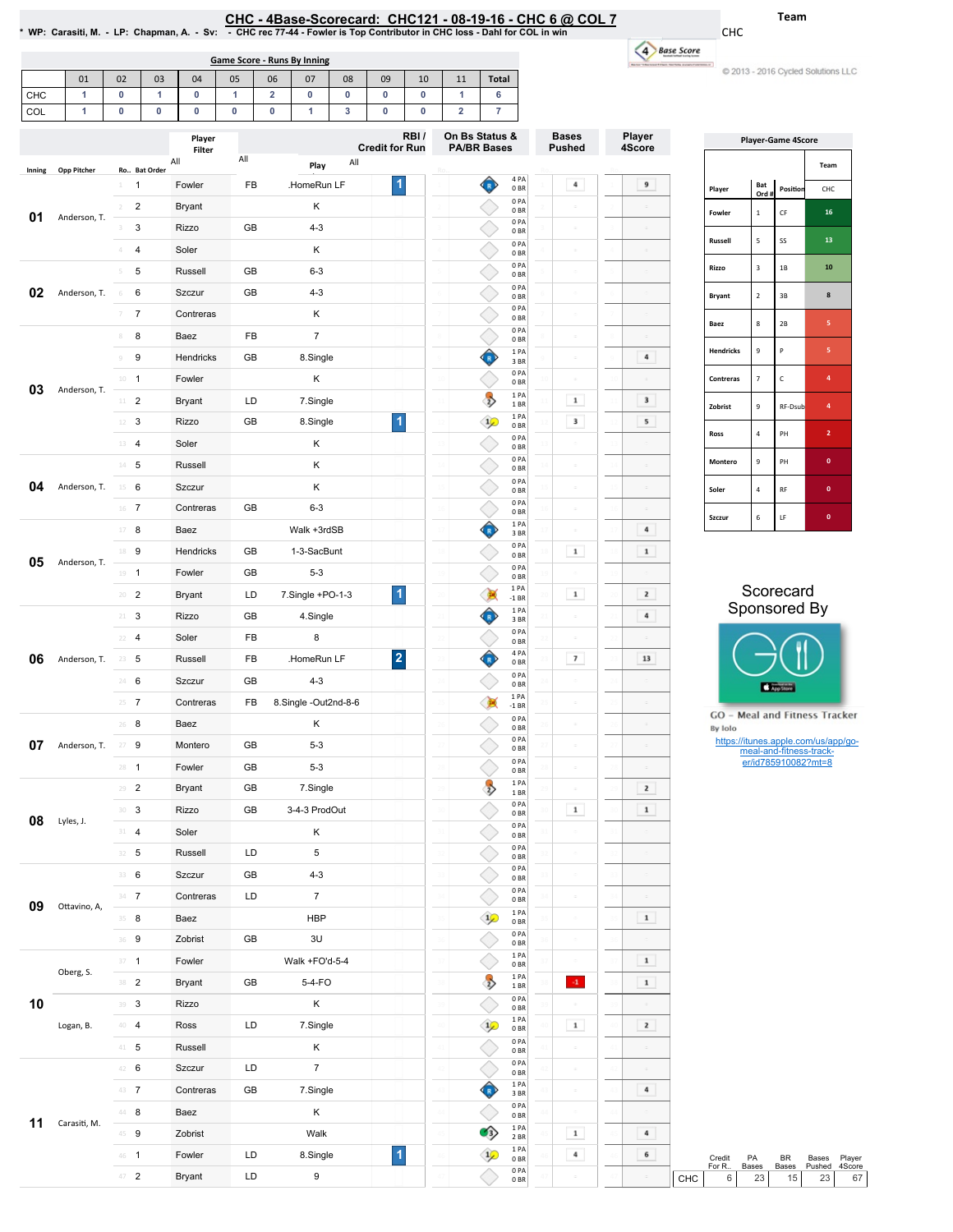| CHC - 4Base-Scorecard: CHC121 - 08-19-16 - CHC 6 @ COL 7                                                                 |
|--------------------------------------------------------------------------------------------------------------------------|
| * WP: Carasiti, M. - LP: Chapman, A. - Sv: - CHC rec 77-44 - Fowler is Top Contributor in CHC loss - Dahl for COL in win |

Game Score - Runs By Inning

Team

CHC

4 Base Score .<br>Non factors construct ...

C 2013 - 2016 Cycled Solutions LLC

|        | 01           | 02               | 03             | 04               | 05                | 06          | 07                   | 08          | 09                      | 10          | 11                                                                                                                                                                                                                                                                                                                                                  | <b>Total</b>    |                         |                                      |                         |                                          |                         |                           | C 2013 - 2016 Cycled Solutions LLC  |
|--------|--------------|------------------|----------------|------------------|-------------------|-------------|----------------------|-------------|-------------------------|-------------|-----------------------------------------------------------------------------------------------------------------------------------------------------------------------------------------------------------------------------------------------------------------------------------------------------------------------------------------------------|-----------------|-------------------------|--------------------------------------|-------------------------|------------------------------------------|-------------------------|---------------------------|-------------------------------------|
| CHC    | 1            | 0                | 1              | 0                | $\mathbf{1}$      | $\mathbf 2$ | 0                    | $\mathbf 0$ | $\pmb{0}$               | $\pmb{0}$   | 1                                                                                                                                                                                                                                                                                                                                                   | 6               |                         |                                      |                         |                                          |                         |                           |                                     |
| COL    | 1            | 0                | 0              | 0                | $\pmb{0}$         | $\pmb{0}$   | 1                    | 3           | $\mathbf 0$             | $\mathbf 0$ | $\overline{2}$                                                                                                                                                                                                                                                                                                                                      | $\overline{7}$  |                         |                                      |                         |                                          |                         |                           |                                     |
|        |              |                  |                | Player<br>Filter |                   |             |                      |             | <b>Credit for Run</b>   | RBI/        | On Bs Status &<br><b>PA/BR Bases</b>                                                                                                                                                                                                                                                                                                                |                 |                         | <b>Bases</b><br><b>Pushed</b>        | Player<br>4Score        |                                          |                         | <b>Player-Game 4Score</b> |                                     |
| Inning | Opp Pitcher  |                  | Ro Bat Order   | All              | All               |             | Play                 | All         |                         |             |                                                                                                                                                                                                                                                                                                                                                     |                 |                         |                                      |                         |                                          |                         |                           | Team                                |
|        |              | $\perp$          | $\overline{1}$ | Fowler           | FB                |             | .HomeRun LF          |             | $\vert$ 1               |             | ❤                                                                                                                                                                                                                                                                                                                                                   |                 | 4 PA<br>0 <sub>BR</sub> | 4                                    | 9                       | Player                                   | Bat<br>Ord i            | Position                  | $\mathsf{CHC}$                      |
| 01     |              | $\overline{2}$   | $\overline{2}$ | <b>Bryant</b>    |                   |             | Κ                    |             |                         |             |                                                                                                                                                                                                                                                                                                                                                     |                 | 0PA<br>0 <sub>BR</sub>  |                                      |                         | Fowler                                   | $\,$ 1 $\,$             | $\mathsf{CF}$             | 16                                  |
|        | Anderson, T. | 3                | 3              | Rizzo            | GB                |             | $4 - 3$              |             |                         |             |                                                                                                                                                                                                                                                                                                                                                     |                 | 0PA<br>0 <sub>BR</sub>  |                                      |                         |                                          |                         |                           |                                     |
|        |              | 4                | $\overline{4}$ | Soler            |                   |             | Κ                    |             |                         |             |                                                                                                                                                                                                                                                                                                                                                     |                 | 0PA<br>0 <sub>BR</sub>  |                                      |                         | Russell                                  | $\sf 5$                 | SS                        | 13                                  |
|        |              | 5                | 5              | Russell          | GB                |             | $6 - 3$              |             |                         |             |                                                                                                                                                                                                                                                                                                                                                     |                 | 0PA<br>0 <sub>BR</sub>  |                                      |                         | Rizzo                                    | $\overline{\mathbf{3}}$ | $1\mathsf{B}$             | 10                                  |
| 02     | Anderson, T. | 6                | 6              | Szczur           | GB                |             | $4 - 3$              |             |                         |             |                                                                                                                                                                                                                                                                                                                                                     |                 | 0PA<br>0 <sub>BR</sub>  |                                      |                         | <b>Bryant</b>                            | $\sqrt{2}$              | 3B                        | 8                                   |
|        |              | $\overline{7}$   | $\overline{7}$ | Contreras        |                   |             | Κ                    |             |                         |             |                                                                                                                                                                                                                                                                                                                                                     |                 | 0PA<br>0 <sub>BR</sub>  |                                      |                         | Baez                                     | $\bf 8$                 | 2B                        | $\mathbf S$                         |
|        |              | 8                | 8              | Baez             | FB                |             | $\overline{7}$       |             |                         |             |                                                                                                                                                                                                                                                                                                                                                     |                 | 0PA<br>0 <sub>BR</sub>  |                                      |                         |                                          |                         |                           |                                     |
|        |              | 9                | 9              | Hendricks        | GB                |             | 8.Single             |             |                         |             | ♦                                                                                                                                                                                                                                                                                                                                                   |                 | 1PA<br>3 BR             |                                      | 4                       | Hendricks                                | 9                       | P                         | 5                                   |
| 03     | Anderson, T. | $10 - 1$         |                | Fowler           |                   |             | Κ                    |             |                         |             |                                                                                                                                                                                                                                                                                                                                                     |                 | 0PA<br>0 <sub>BR</sub>  |                                      |                         | Contreras                                | $\overline{7}$          | С                         | $\boldsymbol{4}$                    |
|        |              | $11 -$           | $\overline{2}$ | <b>Bryant</b>    | LD                |             | 7.Single             |             |                         |             | $\rightarrow$                                                                                                                                                                                                                                                                                                                                       |                 | 1 PA<br>1 BR            | $\mathbf 1$                          | $\overline{\mathbf{3}}$ | Zobrist                                  | $\boldsymbol{9}$        | RF-Dsub                   | $\overline{4}$                      |
|        |              | $12 \t3$         |                | Rizzo            | GB                |             | 8.Single             |             | $\vert$ 1               |             | $\frac{1}{2}$                                                                                                                                                                                                                                                                                                                                       |                 | 1 PA<br>0 <sub>BR</sub> | $\overline{\mathbf{3}}$              | 5                       |                                          |                         |                           |                                     |
|        |              | 13 4             |                | Soler            |                   |             | Κ                    |             |                         |             |                                                                                                                                                                                                                                                                                                                                                     |                 | 0PA<br>0 <sub>BR</sub>  |                                      |                         | Ross                                     | $\overline{4}$          | PH                        | $\mathbf{2}$                        |
|        |              | $14 - 5$         |                | Russell          |                   |             | Κ                    |             |                         |             |                                                                                                                                                                                                                                                                                                                                                     |                 | 0PA<br>0 <sub>BR</sub>  |                                      |                         | Montero                                  | 9                       | PH                        | $\mathbf{0}$                        |
| 04     | Anderson, T. | $15 \t 6$        |                | Szczur           |                   |             | Κ                    |             |                         |             |                                                                                                                                                                                                                                                                                                                                                     |                 | 0PA<br>0 <sub>BR</sub>  |                                      |                         | Soler                                    | $\sqrt{4}$              | RF                        | $\mathbf{0}^-$                      |
|        |              | $16$ 7           |                | Contreras        | GB                |             | $6 - 3$              |             |                         |             |                                                                                                                                                                                                                                                                                                                                                     |                 | 0PA<br>0BR              |                                      |                         | Szczur                                   | $\mathbf 6$             | LF                        | $\mathbf{0}^-$                      |
|        |              | $17 - 8$         |                | Baez             |                   |             | Walk +3rdSB          |             |                         |             | ♦                                                                                                                                                                                                                                                                                                                                                   |                 | 1PA<br>3BR              |                                      | 4                       |                                          |                         |                           |                                     |
| 05     | Anderson, T. | 18               | 9              | Hendricks        | GB                |             | 1-3-SacBunt          |             |                         |             |                                                                                                                                                                                                                                                                                                                                                     |                 | 0PA<br>0 <sub>BR</sub>  | $\mathbf 1$                          | $\mathbf 1$             |                                          |                         |                           |                                     |
|        |              | $19 - 1$         |                | Fowler           | GB                |             | $5 - 3$              |             |                         |             |                                                                                                                                                                                                                                                                                                                                                     |                 | 0PA<br>0 <sub>BR</sub>  |                                      |                         |                                          |                         |                           |                                     |
|        |              | $20 - 2$         |                | <b>Bryant</b>    | LD                |             | 7.Single +PO-1-3     |             | $\vert$ 1               |             | B                                                                                                                                                                                                                                                                                                                                                   | 1 PA<br>$-1$ BR |                         | $\mathbf 1$                          | $\mathbf{z}$            |                                          |                         | Scorecard                 |                                     |
|        |              | $21 -$           | $\mathbf{3}$   | Rizzo            | GB                |             | 4.Single             |             |                         |             | ♦                                                                                                                                                                                                                                                                                                                                                   |                 | 1PA<br>3 BR             |                                      | 4                       |                                          |                         | Sponsored By              |                                     |
|        |              | $22 - 4$         |                | Soler            | FB                |             | 8                    |             |                         |             |                                                                                                                                                                                                                                                                                                                                                     |                 | 0PA<br>0 <sub>BR</sub>  |                                      |                         |                                          |                         |                           |                                     |
| 06     | Anderson, T. | 23 5             |                | Russell          | .HomeRun LF<br>FB |             |                      |             | $\overline{\mathbf{2}}$ |             | ♦                                                                                                                                                                                                                                                                                                                                                   |                 | 4 PA<br>0 <sub>BR</sub> | $\overline{ }$                       | 13                      |                                          |                         |                           |                                     |
|        |              | 24               | 6              | Szczur           | GB                |             | $4 - 3$              |             |                         |             |                                                                                                                                                                                                                                                                                                                                                     |                 | 0PA<br>0 <sub>BR</sub>  |                                      |                         |                                          |                         | App Store                 |                                     |
|        |              | $25 \t 7$        |                | Contreras        | FB                |             | 8.Single -Out2nd-8-6 |             |                         |             | $\begin{picture}(20,20) \put(0,0){\line(1,0){10}} \put(15,0){\line(1,0){10}} \put(15,0){\line(1,0){10}} \put(15,0){\line(1,0){10}} \put(15,0){\line(1,0){10}} \put(15,0){\line(1,0){10}} \put(15,0){\line(1,0){10}} \put(15,0){\line(1,0){10}} \put(15,0){\line(1,0){10}} \put(15,0){\line(1,0){10}} \put(15,0){\line(1,0){10}} \put(15,0){\line(1$ | 1 PA<br>$-1$ BR |                         |                                      |                         |                                          |                         |                           |                                     |
|        |              | $26$ 8           |                | Baez             |                   |             | Κ                    |             |                         |             |                                                                                                                                                                                                                                                                                                                                                     |                 | 0PA<br>0 <sub>BR</sub>  |                                      |                         | GO - Meal and Fitness Tracker<br>By Iolo |                         |                           |                                     |
| 07     | Anderson, T. | 27               | 9              | Montero          | GB                |             | $5 - 3$              |             |                         |             |                                                                                                                                                                                                                                                                                                                                                     |                 | 0PA<br>0 <sub>BR</sub>  |                                      |                         |                                          |                         | meal-and-fitness-track-   | https://itunes.apple.com/us/app/go- |
|        |              | $28 - 1$         |                | Fowler           | GB                |             | $5 - 3$              |             |                         |             |                                                                                                                                                                                                                                                                                                                                                     |                 | 0PA<br>0 <sub>BR</sub>  |                                      |                         |                                          |                         | er/id785910082?mt=8       |                                     |
|        |              | $29 - 2$         |                | Bryant           | GB                |             | 7.Single             |             |                         |             | $\rightarrow$                                                                                                                                                                                                                                                                                                                                       |                 | 1PA<br>$1\;\mathrm{BR}$ |                                      | $\mathbf{z}$            |                                          |                         |                           |                                     |
| 08     | Lyles, J.    | 30 <sup>3</sup>  |                | Rizzo            | GB                |             | 3-4-3 ProdOut        |             |                         |             |                                                                                                                                                                                                                                                                                                                                                     |                 | 0PA<br>0BR              | $\mathbf{1}$                         | $\mathbf 1$             |                                          |                         |                           |                                     |
|        |              | $31 \t 4$        |                | Soler            |                   |             | Κ                    |             |                         |             |                                                                                                                                                                                                                                                                                                                                                     |                 | 0PA<br>0 <sub>BR</sub>  |                                      |                         |                                          |                         |                           |                                     |
|        |              | $32 - 5$         |                | Russell          | LD                |             | $\mathbf 5$          |             |                         |             |                                                                                                                                                                                                                                                                                                                                                     |                 | 0PA<br>0BR              |                                      |                         |                                          |                         |                           |                                     |
|        |              | 33 6             |                | Szczur           | GB                |             | $4 - 3$              |             |                         |             |                                                                                                                                                                                                                                                                                                                                                     |                 | 0PA<br>0 <sub>BR</sub>  |                                      |                         |                                          |                         |                           |                                     |
| 09     | Ottavino, A, | $34 - 7$         |                | Contreras        | LD                |             | $\overline{7}$       |             |                         |             |                                                                                                                                                                                                                                                                                                                                                     |                 | 0PA<br>0BR              |                                      |                         |                                          |                         |                           |                                     |
|        |              | $35 - 8$         |                | Baez             |                   |             | <b>HBP</b>           |             |                         |             | $\mathcal{P}$                                                                                                                                                                                                                                                                                                                                       |                 | 1PA<br>0BR              |                                      | $\mathbf 1$             |                                          |                         |                           |                                     |
|        |              | 36 9             |                | Zobrist          | GB                |             | 3U                   |             |                         |             |                                                                                                                                                                                                                                                                                                                                                     |                 | 0PA<br>0 <sub>BR</sub>  |                                      |                         |                                          |                         |                           |                                     |
|        | Oberg, S.    | $37 - 1$         |                | Fowler           |                   |             | Walk +FO'd-5-4       |             |                         |             |                                                                                                                                                                                                                                                                                                                                                     |                 | 1PA<br>0BR              |                                      | $\mathbf 1$             |                                          |                         |                           |                                     |
|        |              | 38 <sup>2</sup>  |                | Bryant           | GB                |             | 5-4-FO               |             |                         |             | $\rightarrow$                                                                                                                                                                                                                                                                                                                                       |                 | 1PA<br>1 BR             | $\left\langle \cdot 1 \right\rangle$ | $\mathbf{1}$            |                                          |                         |                           |                                     |
| 10     |              | $39 - 3$         |                | Rizzo            |                   |             | Κ                    |             |                         |             |                                                                                                                                                                                                                                                                                                                                                     |                 | 0PA<br>0B               |                                      |                         |                                          |                         |                           |                                     |
|        | Logan, B.    | $40-4$           |                | Ross             | LD                |             | 7.Single             |             |                         |             | $\mathcal{P}$                                                                                                                                                                                                                                                                                                                                       |                 | 1PA<br>0BR              | $\mathbf 1$                          | $\mathbf{z}$            |                                          |                         |                           |                                     |
|        |              | $41 - 5$         |                | Russell          |                   |             | Κ                    |             |                         |             |                                                                                                                                                                                                                                                                                                                                                     |                 | 0PA<br>0 <sub>BR</sub>  |                                      |                         |                                          |                         |                           |                                     |
|        |              | 42 6             |                | Szczur           | LD                |             | $\overline{7}$       |             |                         |             |                                                                                                                                                                                                                                                                                                                                                     |                 | 0PA<br>0 <sub>BR</sub>  |                                      |                         |                                          |                         |                           |                                     |
|        |              | 43 7             |                | Contreras        | GB                |             | 7.Single             |             |                         |             | ♦                                                                                                                                                                                                                                                                                                                                                   |                 | 1PA<br>3BR              |                                      | $4\,$                   |                                          |                         |                           |                                     |
| 11     | Carasiti, M. | 44 8             |                | Baez             |                   |             | K                    |             |                         |             |                                                                                                                                                                                                                                                                                                                                                     |                 | 0PA<br>0 <sub>BR</sub>  |                                      |                         |                                          |                         |                           |                                     |
|        |              | 45 9             |                | Zobrist          |                   |             | Walk                 |             |                         |             | $\left\langle \cdot \right\rangle$                                                                                                                                                                                                                                                                                                                  |                 | 1PA<br>2BR              | $\mathbf 1$                          | $\,4$                   |                                          |                         |                           |                                     |
|        |              | 46 1             |                | Fowler           | LD                |             | 8.Single             |             | $\vert$ 1               |             | $\mathcal{P}$                                                                                                                                                                                                                                                                                                                                       |                 | 1 PA<br>0BR             | $\overline{4}$                       | 6                       | Credit<br>For R                          | PA<br>Bases             | BR<br>Bases               | Player<br>Bases<br>Pushed<br>4Score |
|        |              | $47$ – $\pmb{2}$ |                | Bryant           | LD                |             | 9                    |             |                         |             |                                                                                                                                                                                                                                                                                                                                                     |                 | 0PA<br>0BR              |                                      |                         | $\,6\,$<br>CHC                           | 23                      | 15                        | 23                                  |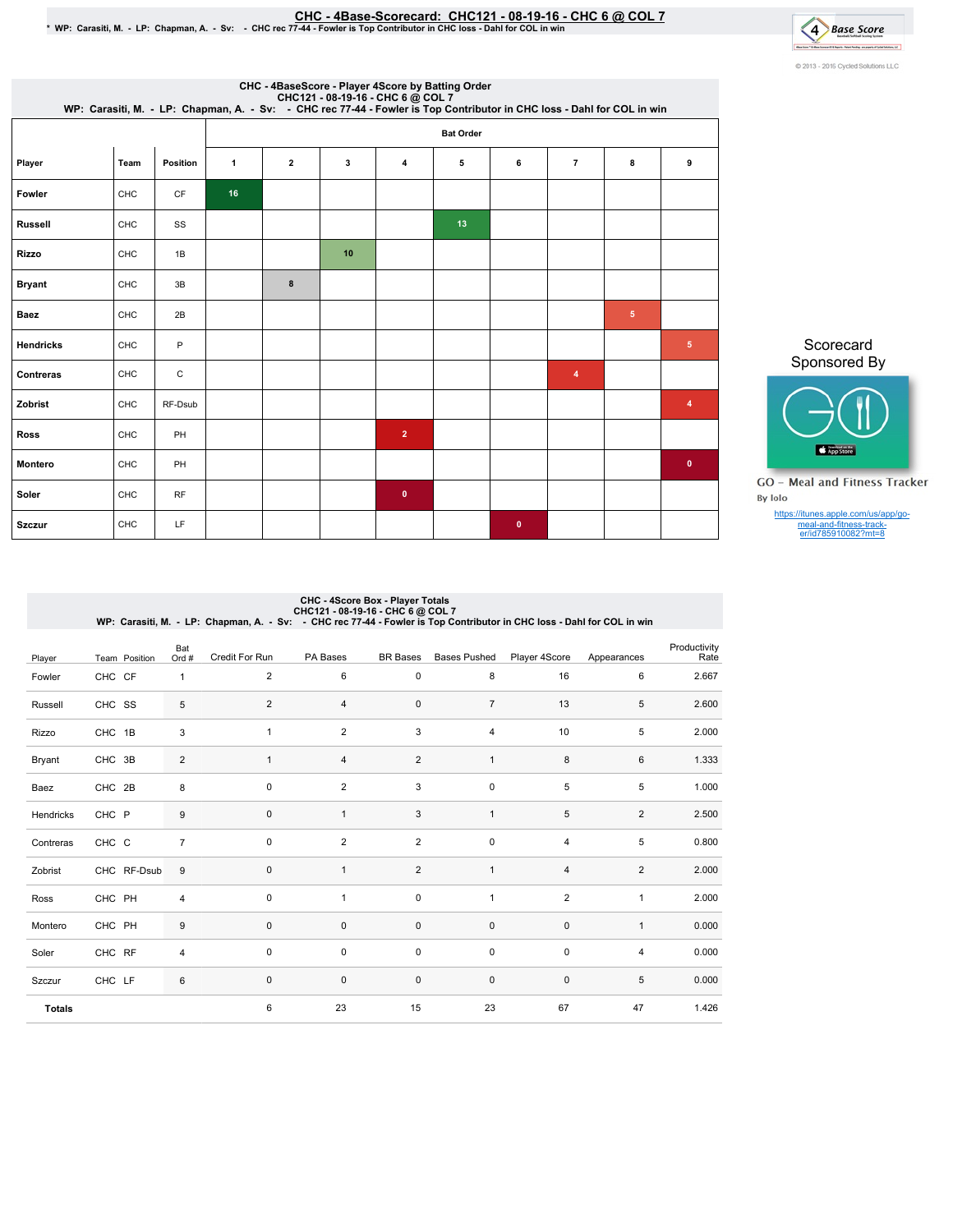### CHC-4Base-Scorecard:CHC121-08-19-16-CHC6@ COL7 \*WP:Carasiti,M.-LP:Chapman,A.-Sv: -CHCrec77-44-FowlerisTopContributorinCHCloss-DahlforCOLinwin

4 Base Score Malaysian lands fabet footing an arcandy of Cycle C 2013 - 2016 Cycled Solutions LLC

|                  | CHC - 4BaseScore - Player 4Score by Batting Order<br>CHC121 - 08-19-16 - CHC 6 @ COL 7<br>WP: Carasiti, M. - LP: Chapman, A. - Sv: - CHC rec 77-44 - Fowler is Top Contributor in CHC loss - Dahl for COL in win |              |              |                         |    |                |                  |              |                |            |                 |  |  |  |
|------------------|------------------------------------------------------------------------------------------------------------------------------------------------------------------------------------------------------------------|--------------|--------------|-------------------------|----|----------------|------------------|--------------|----------------|------------|-----------------|--|--|--|
|                  |                                                                                                                                                                                                                  |              |              |                         |    |                | <b>Bat Order</b> |              |                |            |                 |  |  |  |
| Player           | Team                                                                                                                                                                                                             | Position     | $\mathbf{1}$ | $\overline{\mathbf{2}}$ | 3  | 4              | 5                | 6            | $\overline{7}$ | 8          | 9               |  |  |  |
| Fowler           | CHC                                                                                                                                                                                                              | CF           | 16           |                         |    |                |                  |              |                |            |                 |  |  |  |
| <b>Russell</b>   | CHC                                                                                                                                                                                                              | SS           |              |                         |    |                | 13               |              |                |            |                 |  |  |  |
| <b>Rizzo</b>     | CHC                                                                                                                                                                                                              | 1B           |              |                         | 10 |                |                  |              |                |            |                 |  |  |  |
| <b>Bryant</b>    | <b>CHC</b>                                                                                                                                                                                                       | 3B           |              | 8                       |    |                |                  |              |                |            |                 |  |  |  |
| <b>Baez</b>      | CHC                                                                                                                                                                                                              | 2B           |              |                         |    |                |                  |              |                | $\sqrt{5}$ |                 |  |  |  |
| <b>Hendricks</b> | <b>CHC</b>                                                                                                                                                                                                       | P            |              |                         |    |                |                  |              |                |            | $5\phantom{.0}$ |  |  |  |
| Contreras        | CHC                                                                                                                                                                                                              | $\mathtt{C}$ |              |                         |    |                |                  |              | 4              |            |                 |  |  |  |
| Zobrist          | CHC                                                                                                                                                                                                              | RF-Dsub      |              |                         |    |                |                  |              |                |            | 4               |  |  |  |
| <b>Ross</b>      | CHC                                                                                                                                                                                                              | PH           |              |                         |    | $\overline{2}$ |                  |              |                |            |                 |  |  |  |
| Montero          | CHC                                                                                                                                                                                                              | PH           |              |                         |    |                |                  |              |                |            | $\pmb{0}$       |  |  |  |
| Soler            | CHC                                                                                                                                                                                                              | <b>RF</b>    |              |                         |    | $\pmb{0}$      |                  |              |                |            |                 |  |  |  |
| <b>Szczur</b>    | CHC                                                                                                                                                                                                              | LF           |              |                         |    |                |                  | $\mathbf{0}$ |                |            |                 |  |  |  |

Scorecard Sponsored By



**GO** - Meal and Fitness Tracker By Iolo

https://itunes.apple.com/us/app/go-meal-and-fitness-track-er/id785910082?mt=8

# CHC - 4Score Box - Player Totals<br>CHC121 - 08-19-16 CHC 10 - CHC 10 CHC 10<br>WP: Carasiti, M. - LP: Chapman, A. - Sv: - CHC rec 77-44 - Fowler is Top Contributor in CHC loss - Dahl for COL in win

| Player        |        | Team Position | Bat<br>Ord #   | Credit For Run | PA Bases       | <b>BR</b> Bases | <b>Bases Pushed</b> | Player 4Score  | Appearances    | Productivity<br>Rate |
|---------------|--------|---------------|----------------|----------------|----------------|-----------------|---------------------|----------------|----------------|----------------------|
| Fowler        | CHC CF |               | $\mathbf{1}$   | $\overline{2}$ | 6              | $\mathbf 0$     | 8                   | 16             | 6              | 2.667                |
| Russell       | CHC SS |               | 5              | $\overline{2}$ | $\overline{4}$ | 0               | $\overline{7}$      | 13             | 5              | 2.600                |
| Rizzo         | CHC 1B |               | 3              | $\mathbf{1}$   | $\overline{2}$ | 3               | 4                   | 10             | 5              | 2.000                |
| Bryant        | CHC 3B |               | $\sqrt{2}$     | $\mathbf{1}$   | 4              | $\overline{2}$  | $\mathbf{1}$        | 8              | 6              | 1.333                |
| Baez          | CHC 2B |               | 8              | 0              | $\overline{2}$ | 3               | 0                   | 5              | 5              | 1.000                |
| Hendricks     | CHC P  |               | $9\,$          | $\mathbf 0$    | $\mathbf{1}$   | 3               | $\mathbf{1}$        | 5              | $\overline{2}$ | 2.500                |
| Contreras     | CHC C  |               | $\overline{7}$ | $\mathbf 0$    | $\overline{2}$ | $\overline{2}$  | 0                   | $\overline{4}$ | 5              | 0.800                |
| Zobrist       |        | CHC RF-Dsub   | 9              | 0              | $\mathbf{1}$   | $\overline{2}$  | $\mathbf{1}$        | $\overline{4}$ | $\overline{2}$ | 2.000                |
| Ross          | CHC PH |               | $\overline{4}$ | 0              | $\overline{1}$ | $\pmb{0}$       | 1                   | $\overline{2}$ | $\mathbf{1}$   | 2.000                |
| Montero       | CHC PH |               | $9\,$          | $\mathbf 0$    | $\mathbf 0$    | 0               | 0                   | $\pmb{0}$      | $\mathbf{1}$   | 0.000                |
| Soler         | CHC RF |               | $\overline{4}$ | 0              | $\pmb{0}$      | $\pmb{0}$       | 0                   | $\pmb{0}$      | $\overline{4}$ | 0.000                |
| Szczur        | CHC LF |               | $\,6$          | 0              | $\pmb{0}$      | $\pmb{0}$       | $\pmb{0}$           | $\pmb{0}$      | 5              | 0.000                |
| <b>Totals</b> |        |               |                | 6              | 23             | 15              | 23                  | 67             | 47             | 1.426                |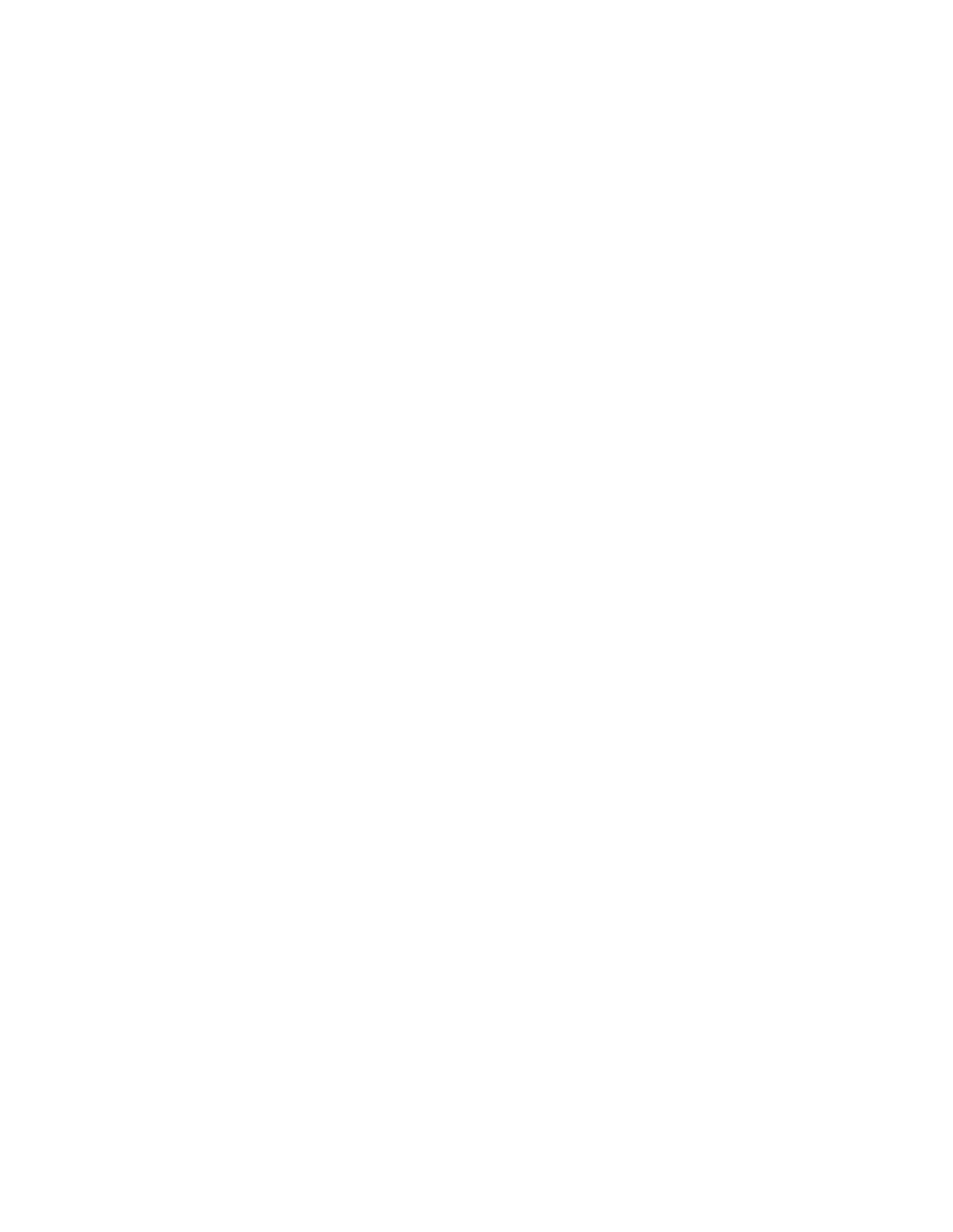|         |                |            |              |    |                         | <b>%DVH6FRU+FDLG</b>                    | &+&                 |  | $\alpha$ |
|---------|----------------|------------|--------------|----|-------------------------|-----------------------------------------|---------------------|--|----------|
| $\pm$ 3 | <b>REIDMWO</b> | $\sqrt{3}$ | & KDSP DO \$ | 6Y | $\lambda + \lambda$ IFF | IRZOBIJIV ZRS & ROMMEXMRIJIO & + & ORVV | 10710<br>DKORI 1821 |  |          |

| & + & %DVH6FRUH 300 HU 6FRUHE \%DWMQJ 2 UGHU<br>$8+8$ # $82/$<br>$8 + 8$<br>: 3 & DUDVLML/0 / 3 & KDSPDQ \$ 6Y & + & UHF ) RZOHULV 7RS&RQMUEXWRULQ& + & ORVV 'DKOLRU& 2 / LQZLQ |         |                  |  |  |  |  |  |  |  |  |  |  |  |
|---------------------------------------------------------------------------------------------------------------------------------------------------------------------------------|---------|------------------|--|--|--|--|--|--|--|--|--|--|--|
| %DW2 UGHU                                                                                                                                                                       |         |                  |  |  |  |  |  |  |  |  |  |  |  |
| 30 MU                                                                                                                                                                           | 7HDP    | 3 RVLMRQ         |  |  |  |  |  |  |  |  |  |  |  |
| ) RZ OHU                                                                                                                                                                        | $8 + 8$ | &)               |  |  |  |  |  |  |  |  |  |  |  |
| 5 XVVHO                                                                                                                                                                         | $8 + 8$ | 66               |  |  |  |  |  |  |  |  |  |  |  |
| $5$ 4] $R$                                                                                                                                                                      | $8 + 8$ | $\%$             |  |  |  |  |  |  |  |  |  |  |  |
| %U DOW                                                                                                                                                                          | $8 + 8$ | $\%$             |  |  |  |  |  |  |  |  |  |  |  |
| 9/10H                                                                                                                                                                           | $8 + 8$ | $\%$             |  |  |  |  |  |  |  |  |  |  |  |
| + HQGUIFNV                                                                                                                                                                      | $8 + 8$ | 3                |  |  |  |  |  |  |  |  |  |  |  |
| & ROWHLDV                                                                                                                                                                       | $8 + 8$ | &                |  |  |  |  |  |  |  |  |  |  |  |
| $=$ REULWV                                                                                                                                                                      | $8 + 8$ | 5) ' VXE         |  |  |  |  |  |  |  |  |  |  |  |
| 5 RW                                                                                                                                                                            | $8 + 8$ | $3+$             |  |  |  |  |  |  |  |  |  |  |  |
| 0 RQMMUR                                                                                                                                                                        | $8 + 8$ | $3+$             |  |  |  |  |  |  |  |  |  |  |  |
| 6ROHU                                                                                                                                                                           | $8 + 8$ | 5)               |  |  |  |  |  |  |  |  |  |  |  |
| 6] FJ XU                                                                                                                                                                        | $8 + 8$ | $\left( \right)$ |  |  |  |  |  |  |  |  |  |  |  |

#### 6 FRUHFDLG 6 SROVRUHG%

<u>KWOSV WACHVDSSORFRPXVDSSJR</u><br>PHDCDQGIWOHAVWODFN<br><u>HUIG "PW</u>

|                                             |                |                        | : $3$ & DUDVLW $0$ / $3$ & KDSPDQ \$ | & + & 6 FRUH%R[ 30D\HU7RWDOV<br>$8 + 8$<br>6Y & + & UF | $8+8$ # $82/$ |                                  | ) RZOHULY 7RS & ROMMEXWRULQ & + & ORW 'DKOLRU& 2 / LQ Z LQ |                     |
|---------------------------------------------|----------------|------------------------|--------------------------------------|--------------------------------------------------------|---------------|----------------------------------|------------------------------------------------------------|---------------------|
| 30MHU                                       | 7HDP 3RVMLIRQ  | %DW<br>$2 \, \text{L}$ | & UHGLV) RU5 XQ 3\$ %DVHV            |                                                        |               | %5 %DVHV %DVHV3XVKHG 300\HU6FRUH | \$SSHDUDGFHV                                               | 3 URGXFWYUW<br>5 DM |
| ) RZ OHU                                    | $& 8 + 8 & 8)$ |                        |                                      |                                                        |               |                                  |                                                            |                     |
| 5 XVVHO                                     | $&+866$        |                        |                                      |                                                        |               |                                  |                                                            |                     |
| $5$ <sup><math>\parallel</math></sup> $ $ R | $8 + 8$ %      |                        |                                      |                                                        |               |                                  |                                                            |                     |
| %UDQW                                       | $8+8$ %        |                        |                                      |                                                        |               |                                  |                                                            |                     |
| %DH                                         | $8+8$ %        |                        |                                      |                                                        |               |                                  |                                                            |                     |
| + HQGUENV                                   | $8 + 8$ 3      |                        |                                      |                                                        |               |                                  |                                                            |                     |
| & ROWHLDV                                   | $8 + 8$ &      |                        |                                      |                                                        |               |                                  |                                                            |                     |
| $=$ REUMV                                   | $8+8$ 5) WE    |                        |                                      |                                                        |               |                                  |                                                            |                     |
| 5 RW                                        | $&+8$ 3+       |                        |                                      |                                                        |               |                                  |                                                            |                     |
| 0 ROMUR                                     | $&+8$ 3+       |                        |                                      |                                                        |               |                                  |                                                            |                     |
| 6 ROHU                                      | $8+8$ 5)       |                        |                                      |                                                        |               |                                  |                                                            |                     |
| 6] FJ XU                                    | $8+8$ ()       |                        |                                      |                                                        |               |                                  |                                                            |                     |
| 7RWDOV                                      |                |                        |                                      |                                                        |               |                                  |                                                            |                     |
|                                             |                |                        |                                      |                                                        |               |                                  |                                                            |                     |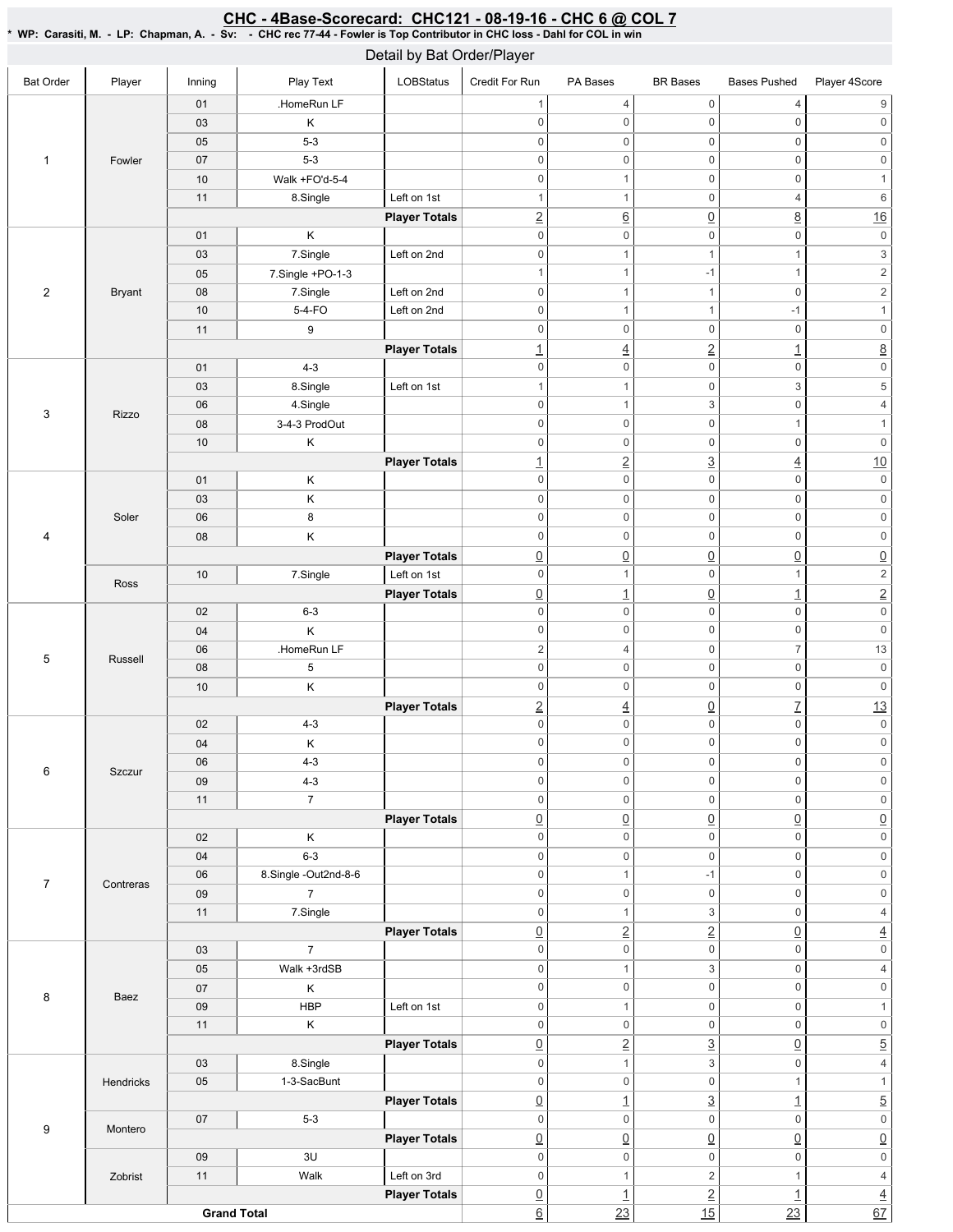## <u>CHC - 4Base-Scorecard: CHC121 - 08-19-16 - CHC 6 @ COL 7</u>

\*WP:Carasiti,M.-LP:Chapman,A.-Sv: -CHCrec77-44-FowlerisTopContributorinCHCloss-DahlforCOLinwin

|                  |               |                    |                      | Detail by Bat Order/Player |                                |                                 |                              |                                |                                       |
|------------------|---------------|--------------------|----------------------|----------------------------|--------------------------------|---------------------------------|------------------------------|--------------------------------|---------------------------------------|
| <b>Bat Order</b> | Player        | Inning             | Play Text            | LOBStatus                  | Credit For Run                 | PA Bases                        | <b>BR</b> Bases              | <b>Bases Pushed</b>            | Player 4Score                         |
|                  |               | 01                 | .HomeRun LF          |                            | $\mathbf{1}$                   | 4                               | $\mathbf 0$                  | 4                              | 9                                     |
|                  |               | 03                 | Κ                    |                            | $\boldsymbol{0}$               | $\mathbf 0$                     | $\mathbf 0$                  | $\mathbf 0$                    | $\mathsf{O}\xspace$                   |
|                  |               | 05                 | $5 - 3$              |                            | $\mathbf 0$                    | $\boldsymbol{0}$                | $\mathbf 0$                  | $\boldsymbol{0}$               | $\mathsf{O}\xspace$                   |
| $\mathbf{1}$     | Fowler        | 07                 | $5-3$                |                            | $\mathbf 0$                    | $\boldsymbol{0}$                | $\mathbf 0$                  | $\boldsymbol{0}$               | $\mathsf 0$                           |
|                  |               | 10                 | Walk +FO'd-5-4       |                            | $\mathbf 0$                    | $\mathbf{1}$                    | $\mathbf 0$                  | $\boldsymbol{0}$               | 1                                     |
|                  |               | 11                 | 8.Single             | Left on 1st                | $\mathbf{1}$                   | $\mathbf{1}$                    | $\mathbf 0$                  | $\overline{4}$                 | 6                                     |
|                  |               |                    |                      | <b>Player Totals</b>       | $\underline{2}$                | $\underline{6}$                 | $\underline{0}$              | 8                              | 16                                    |
|                  |               | 01                 | Κ                    |                            | $\mathbf 0$                    | $\boldsymbol{0}$                | $\mathbf 0$                  | $\boldsymbol{0}$               | $\mathsf{O}\xspace$                   |
|                  |               | 03                 | 7.Single             | Left on 2nd                | $\mathbf 0$                    | $\mathbf{1}$                    | $\mathbf{1}$                 | $\overline{1}$                 | $\ensuremath{\mathsf{3}}$             |
|                  |               | 05                 | 7.Single +PO-1-3     |                            | $\mathbf{1}$                   | $\mathbf{1}$                    | $-1$                         | $\overline{1}$                 | $\overline{c}$                        |
| $\overline{2}$   | <b>Bryant</b> | 08                 | 7.Single             | Left on 2nd                | $\mathbf 0$                    | $\mathbf{1}$                    | $\mathbf{1}$                 | $\boldsymbol{0}$               | $\overline{c}$                        |
|                  |               | 10                 | 5-4-FO               | Left on 2nd                | $\mathbf 0$                    | $\mathbf{1}$                    | $\mathbf{1}$                 | $-1$                           | $\mathbf{1}$                          |
|                  |               | 11                 | 9                    |                            | $\mathbf 0$                    | $\boldsymbol{0}$                | $\mathbf 0$                  | $\boldsymbol{0}$               | $\mathsf{O}\xspace$                   |
|                  |               |                    |                      | <b>Player Totals</b>       | $\underline{\mathbf{1}}$       | $\overline{4}$                  | $\underline{2}$              | $\overline{1}$                 | $\underline{8}$                       |
|                  |               | 01                 | $4 - 3$              |                            | $\mathbf 0$                    | $\boldsymbol{0}$                | $\mathbf 0$                  | $\mathbf 0$                    | $\mathsf{O}\xspace$                   |
|                  |               | 03                 | 8.Single             | Left on 1st                | $\mathbf{1}$                   | $\mathbf{1}$                    | $\mathbf 0$                  | $\sqrt{3}$                     | $\,$ 5 $\,$                           |
| 3                | Rizzo         | 06                 | 4.Single             |                            | $\mathbf 0$                    | $\mathbf{1}$                    | $\ensuremath{\mathsf{3}}$    | $\mathbf 0$                    | $\overline{4}$                        |
|                  |               | 08                 | 3-4-3 ProdOut        |                            | $\mathbf 0$                    | $\boldsymbol{0}$                | $\mathbf 0$                  | $\overline{1}$                 | $\mathbf{1}$                          |
|                  |               | 10                 | Κ                    |                            | $\mathbf 0$                    | $\mathsf 0$                     | $\mathbf 0$                  | $\mathbf 0$                    | $\mathsf{O}\xspace$                   |
|                  |               |                    |                      | <b>Player Totals</b>       | $\underline{\mathbf{1}}$       | $\underline{2}$                 | $\overline{3}$               | $\overline{4}$                 | 10                                    |
|                  |               | 01                 | Κ                    |                            | $\mathbf 0$                    | $\boldsymbol{0}$                | $\mathbf 0$                  | $\mathbf 0$                    | $\mathsf{O}\xspace$                   |
|                  |               | 03                 | Κ                    |                            | $\mathbf 0$<br>$\mathbf 0$     | $\mathbf 0$                     | $\mathbf 0$<br>$\mathbf 0$   | $\mathbb O$<br>$\mathbb O$     | $\mathsf{0}$                          |
| 4                | Soler         | 06<br>08           | 8<br>Κ               |                            | $\mathbf 0$                    | $\mathsf 0$<br>$\mathbf 0$      | $\mathbf 0$                  | $\mathbf 0$                    | $\mathsf{O}\xspace$<br>$\mathsf{0}$   |
|                  |               |                    |                      | <b>Player Totals</b>       | $\underline{0}$                | $\underline{0}$                 | $\underline{0}$              | $\underline{0}$                | $\underline{0}$                       |
|                  |               | $10$               | 7.Single             | Left on 1st                | $\mathbf 0$                    | $\mathbf{1}$                    | $\mathbf 0$                  | $\overline{1}$                 | $\overline{2}$                        |
|                  | Ross          |                    |                      | <b>Player Totals</b>       | $\underline{0}$                | $\overline{1}$                  | $\underline{0}$              | $\overline{1}$                 |                                       |
|                  |               | 02                 | $6 - 3$              |                            | $\mathbf 0$                    | $\mathbf 0$                     | $\mathbf 0$                  | $\mathbb O$                    | $\frac{2}{0}$                         |
| 5                |               | 04                 | Κ                    |                            | $\mathbf 0$                    | $\mathbf 0$                     | $\mathbf 0$                  | $\boldsymbol{0}$               | $\mathsf{O}\xspace$                   |
|                  |               | 06                 | .HomeRun LF          |                            | $\overline{c}$                 | 4                               | $\mathbf 0$                  | $\overline{7}$                 | $13$                                  |
|                  | Russell       | 08                 | $\,$ 5 $\,$          |                            | $\mathbf 0$                    | $\mathbf 0$                     | $\mathbf 0$                  | $\mathbb O$                    | $\mathsf{0}$                          |
|                  |               | 10                 | Κ                    |                            | $\mathbf 0$                    | $\mathbf 0$                     | $\mathbf 0$                  | $\mathbb O$                    | $\mathsf{O}\xspace$                   |
|                  |               |                    |                      | <b>Player Totals</b>       | $\overline{2}$                 | $\overline{4}$                  | $\underline{0}$              | $\underline{7}$                | 13                                    |
|                  |               | 02                 | $4 - 3$              |                            | $\mathbf 0$                    | $\boldsymbol{0}$                | $\mathbf 0$                  | $\mathbb O$                    | $\mathsf{O}\xspace$                   |
|                  |               | 04                 | Κ                    |                            | $\mathbf 0$                    | 0                               | $\mathsf{O}\xspace$          | $\mathsf 0$                    | $\mathbf 0$                           |
|                  |               | 06                 | $4 - 3$              |                            | $\mathbf 0$                    | $\mathsf{O}\xspace$             | $\mathbf 0$                  | $\mathbb O$                    | $\mathbf 0$                           |
| 6                | <b>Szczur</b> | 09                 | $4 - 3$              |                            | $\mathbf 0$                    | $\mathbf 0$                     | $\mathsf 0$                  | $\mathsf 0$                    | $\mathsf{O}\xspace$                   |
|                  |               | 11                 | $\overline{7}$       |                            | $\mathbf 0$                    | $\mathbf 0$                     | $\mathsf 0$                  | $\mathbb O$                    | $\mathsf{0}$                          |
|                  |               |                    |                      | <b>Player Totals</b>       | $\underline{0}$                | $\underline{0}$                 | $\underline{0}$              | $\underline{0}$                | $\underline{0}$                       |
|                  |               | 02                 | Κ                    |                            | $\mathbf 0$                    | $\mathbf 0$                     | $\mathsf 0$                  | $\mathsf 0$                    | $\overline{\mathbf{0}}$               |
|                  |               | 04                 | $6 - 3$              |                            | $\mathbf 0$                    | $\mathbf 0$                     | $\mathsf 0$                  | $\mathbb O$                    | $\mathsf{O}\xspace$                   |
| $\overline{7}$   | Contreras     | 06                 | 8.Single -Out2nd-8-6 |                            | $\mathbf 0$                    | 1                               | $-1$                         | $\mathbb O$                    | $\mathsf{0}$                          |
|                  |               | 09                 | $\overline{7}$       |                            | $\mathbf 0$                    | $\mathbf 0$                     | $\mathsf 0$                  | $\mathsf 0$                    | $\mathsf{0}$                          |
|                  |               | 11                 | 7.Single             |                            | $\mathbf 0$                    | $\mathbf{1}$                    | $\sqrt{3}$                   | $\mathsf 0$                    | $\overline{4}$                        |
|                  |               |                    |                      | <b>Player Totals</b>       | $\underline{0}$                | $\underline{2}$                 | $\overline{2}$               | $\underline{0}$                | $\frac{4}{0}$                         |
|                  |               | 03                 | $\overline{7}$       |                            | $\mathbf 0$                    | $\mathbf 0$                     | $\mathbf 0$                  | $\mathbb O$                    |                                       |
|                  |               | 05                 | Walk +3rdSB          |                            | $\mathbf 0$                    | $\mathbf{1}$                    | $\sqrt{3}$                   | $\mathbb O$                    | $\overline{4}$                        |
| 8                | Baez          | 07                 | Κ                    |                            | $\mathbf 0$                    | $\mathbf 0$                     | $\mathsf{O}\xspace$          | $\mathsf 0$                    | $\mathsf{O}\xspace$                   |
|                  |               | 09                 | <b>HBP</b>           | Left on 1st                | $\mathbf 0$                    | $\mathbf{1}$                    | $\mathsf 0$                  | $\mathsf 0$                    | $\mathbf{1}$                          |
|                  |               | 11                 | Κ                    |                            | $\mathbf 0$                    | $\mathbf 0$                     | $\mathsf{O}\xspace$          | $\mathsf 0$                    | $\mathsf{O}\xspace$<br>$\overline{5}$ |
|                  |               | 03                 | 8.Single             | <b>Player Totals</b>       | $\underline{0}$<br>$\mathbf 0$ | $\underline{2}$<br>$\mathbf{1}$ | $\overline{3}$<br>$\sqrt{3}$ | $\underline{0}$<br>$\mathsf 0$ | $\overline{4}$                        |
|                  | Hendricks     | 05                 | 1-3-SacBunt          |                            | $\mathbf 0$                    | $\mathsf 0$                     | $\mathsf 0$                  | $\mathbf{1}$                   | $\mathbf{1}$                          |
|                  |               |                    |                      | <b>Player Totals</b>       | $\underline{0}$                | $\overline{1}$                  | $\underline{3}$              | $\overline{1}$                 | $\overline{5}$                        |
|                  |               | 07                 | $5-3$                |                            | $\mathbf 0$                    | $\mathbf 0$                     | $\mathsf{O}\xspace$          | $\mathbf 0$                    | $\mathsf{O}\xspace$                   |
| 9                | Montero       |                    |                      | <b>Player Totals</b>       | $\underline{0}$                | $\underline{0}$                 | $\underline{0}$              | $\underline{0}$                | $\underline{0}$                       |
|                  |               | 09                 | 3U                   |                            | $\mathbf 0$                    | $\mathsf{O}\xspace$             | $\mathsf{O}\xspace$          | $\mathbb O$                    | $\mathsf{0}$                          |
|                  | Zobrist       | 11                 | Walk                 | Left on 3rd                | $\mathbf 0$                    | $\mathbf{1}$                    | $\sqrt{2}$                   | $\overline{1}$                 | $\overline{4}$                        |
|                  |               |                    |                      | <b>Player Totals</b>       | $\underline{0}$                | $\overline{1}$                  | $\overline{2}$               | $\overline{1}$                 | $\overline{4}$                        |
|                  |               | <b>Grand Total</b> |                      |                            | $\underline{6}$                | $\overline{23}$                 | 15                           | $\overline{23}$                | 67                                    |